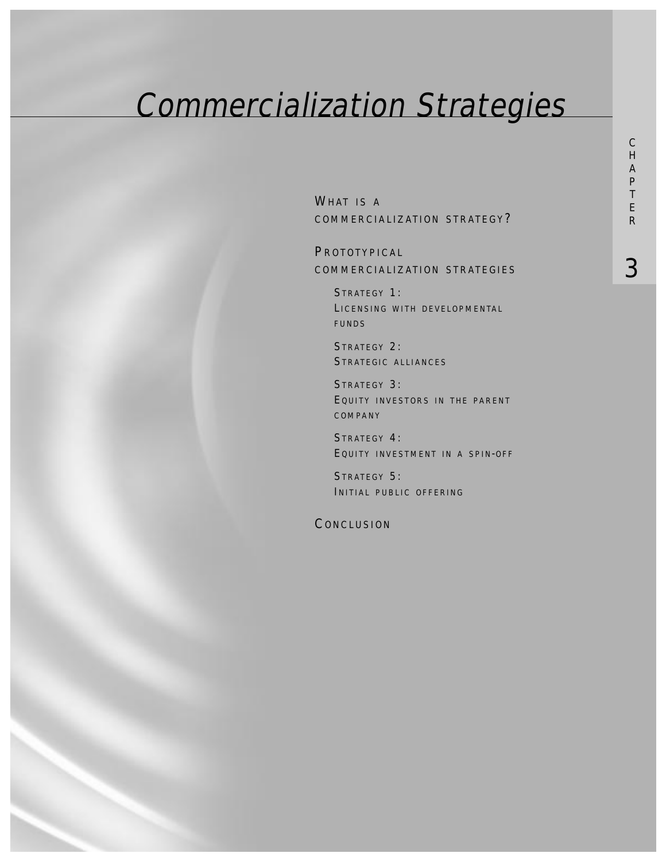# Commercialization Strategies

WHAT IS A COMMERCIALIZATION STRATEGY ?

**PROTOTYPICAL** COMMERCIALIZATION STRATEGIES

STRATEGY 1: LICENSING WITH DEVELOPMENTAL FUNDS

STRATEGY 2: STRATEGIC ALLIANCES

STRATEGY 3: EQUITY INVESTORS IN THE PARENT COMPANY

STRATEGY 4: EQUITY INVESTMENT IN A SPIN-OFF

STRATEGY 5: INITIAL PUBLIC OFFERING

**CONCLUSION**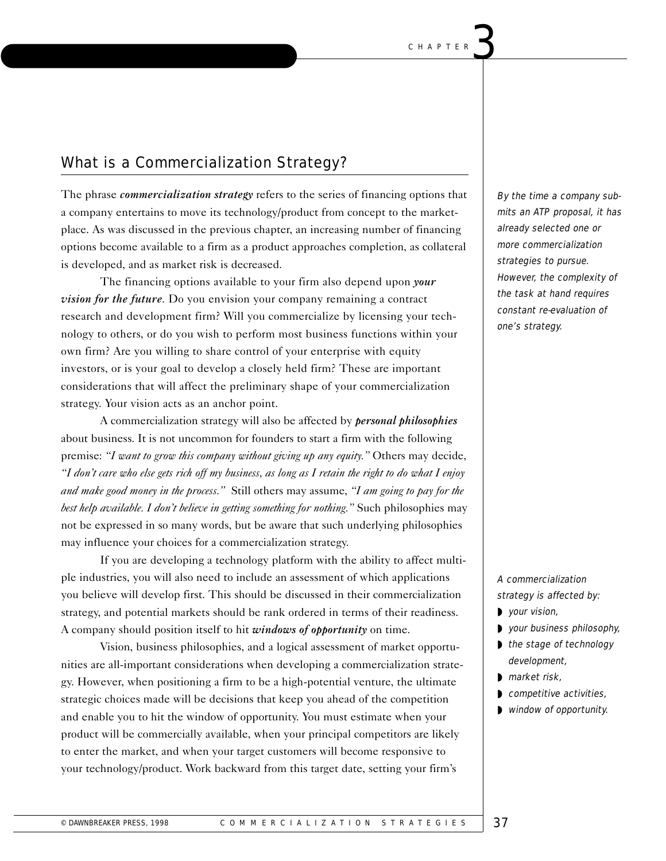# What is a Commercialization Strategy?

The phrase *commercialization strategy* refers to the series of financing options that a company entertains to move its technology/product from concept to the marketplace. As was discussed in the previous chapter, an increasing number of financing options become available to a firm as a product approaches completion, as collateral is developed, and as market risk is decreased.

The financing options available to your firm also depend upon *your vision for the future*. Do you envision your company remaining a contract research and development firm? Will you commercialize by licensing your technology to others, or do you wish to perform most business functions within your own firm? Are you willing to share control of your enterprise with equity investors, or is your goal to develop a closely held firm? These are important considerations that will affect the preliminary shape of your commercialization strategy. Your vision acts as an anchor point.

A commercialization strategy will also be affected by *personal philosophies* about business. It is not uncommon for founders to start a firm with the following premise: *"I want to grow this company without giving up any equity."* Others may decide, *"I don't care who else gets rich off my business, as long as I retain the right to do what I enjoy and make good money in the process."* Still others may assume, *"I am going to pay for the best help available. I don't believe in getting something for nothing."* Such philosophies may not be expressed in so many words, but be aware that such underlying philosophies may influence your choices for a commercialization strategy.

If you are developing a technology platform with the ability to affect multiple industries, you will also need to include an assessment of which applications you believe will develop first. This should be discussed in their commercialization strategy, and potential markets should be rank ordered in terms of their readiness. A company should position itself to hit *windows of opportunity* on time.

Vision, business philosophies, and a logical assessment of market opportunities are all-important considerations when developing a commercialization strategy. However, when positioning a firm to be a high-potential venture, the ultimate strategic choices made will be decisions that keep you ahead of the competition and enable you to hit the window of opportunity. You must estimate when your product will be commercially available, when your principal competitors are likely to enter the market, and when your target customers will become responsive to your technology/product. Work backward from this target date, setting your firm's

By the time a company submits an ATP proposal, it has already selected one or more commercialization strategies to pursue. However, the complexity of the task at hand requires constant re-evaluation of one's strategy.

A commercialization strategy is affected by:

- ◗ your vision,
- ◗ your business philosophy,
- the stage of technology development,
- ◗ market risk,
- ◗ competitive activities,
- ◗ window of opportunity.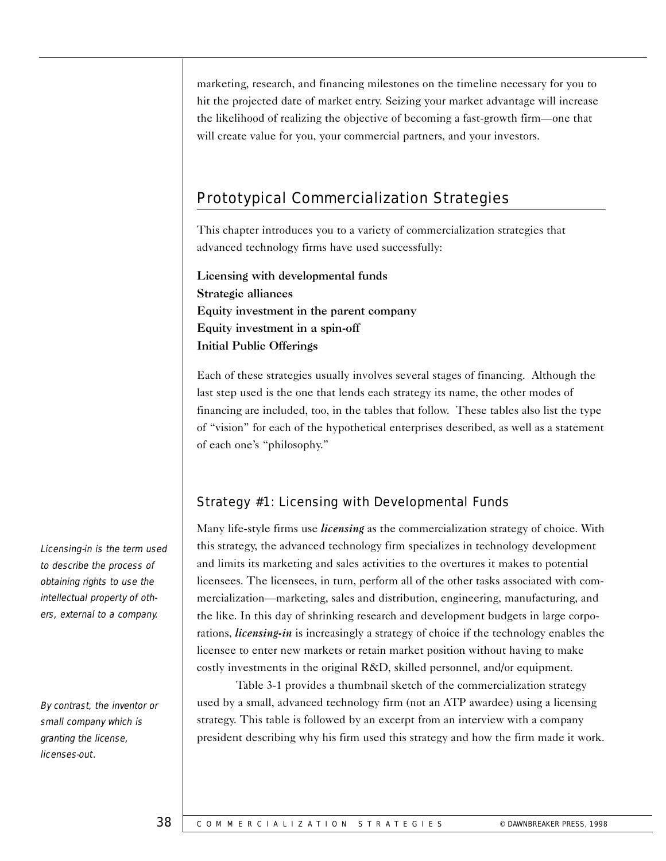marketing, research, and financing milestones on the timeline necessary for you to hit the projected date of market entry. Seizing your market advantage will increase the likelihood of realizing the objective of becoming a fast-growth firm—one that will create value for you, your commercial partners, and your investors.

# Prototypical Commercialization Strategies

This chapter introduces you to a variety of commercialization strategies that advanced technology firms have used successfully:

Licensing with developmental funds Strategic alliances Equity investment in the parent company Equity investment in a spin-off Initial Public Offerings

Each of these strategies usually involves several stages of financing. Although the last step used is the one that lends each strategy its name, the other modes of financing are included, too, in the tables that follow. These tables also list the type of "vision" for each of the hypothetical enterprises described, as well as a statement of each one's "philosophy."

# Strategy #1: Licensing with Developmental Funds

Many life-style firms use *licensing* as the commercialization strategy of choice. With this strategy, the advanced technology firm specializes in technology development and limits its marketing and sales activities to the overtures it makes to potential licensees. The licensees, in turn, perform all of the other tasks associated with commercialization—marketing, sales and distribution, engineering, manufacturing, and the like. In this day of shrinking research and development budgets in large corporations, *licensing-in* is increasingly a strategy of choice if the technology enables the licensee to enter new markets or retain market position without having to make costly investments in the original R&D, skilled personnel, and/or equipment.

Table 3-1 provides a thumbnail sketch of the commercialization strategy used by a small, advanced technology firm (not an ATP awardee) using a licensing strategy. This table is followed by an excerpt from an interview with a company president describing why his firm used this strategy and how the firm made it work.

Licensing-in is the term used to describe the process of obtaining rights to use the intellectual property of others, external to a company.

By contrast, the inventor or small company which is granting the license, licenses-out.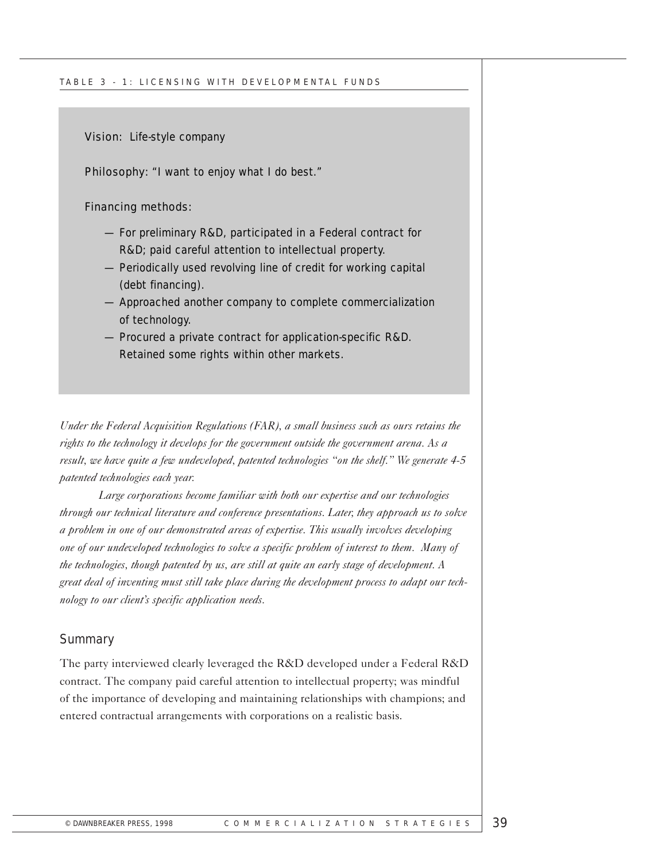Vision: Life-style company

Philosophy: "I want to enjoy what I do best."

Financing methods:

- For preliminary R&D, participated in a Federal contract for R&D; paid careful attention to intellectual property.
- Periodically used revolving line of credit for working capital (debt financing).
- Approached another company to complete commercialization of technology.
- Procured a private contract for application-specific R&D. Retained some rights within other markets.

*Under the Federal Acquisition Regulations (FAR), a small business such as ours retains the rights to the technology it develops for the government outside the government arena. As a result, we have quite a few undeveloped, patented technologies "on the shelf." We generate 4-5 patented technologies each year.*

*Large corporations become familiar with both our expertise and our technologies through our technical literature and conference presentations. Later, they approach us to solve a problem in one of our demonstrated areas of expertise. This usually involves developing one of our undeveloped technologies to solve a specific problem of interest to them. Many of the technologies, though patented by us, are still at quite an early stage of development. A great deal of inventing must still take place during the development process to adapt our technology to our client's specific application needs.*

#### **Summary**

The party interviewed clearly leveraged the R&D developed under a Federal R&D contract. The company paid careful attention to intellectual property; was mindful of the importance of developing and maintaining relationships with champions; and entered contractual arrangements with corporations on a realistic basis.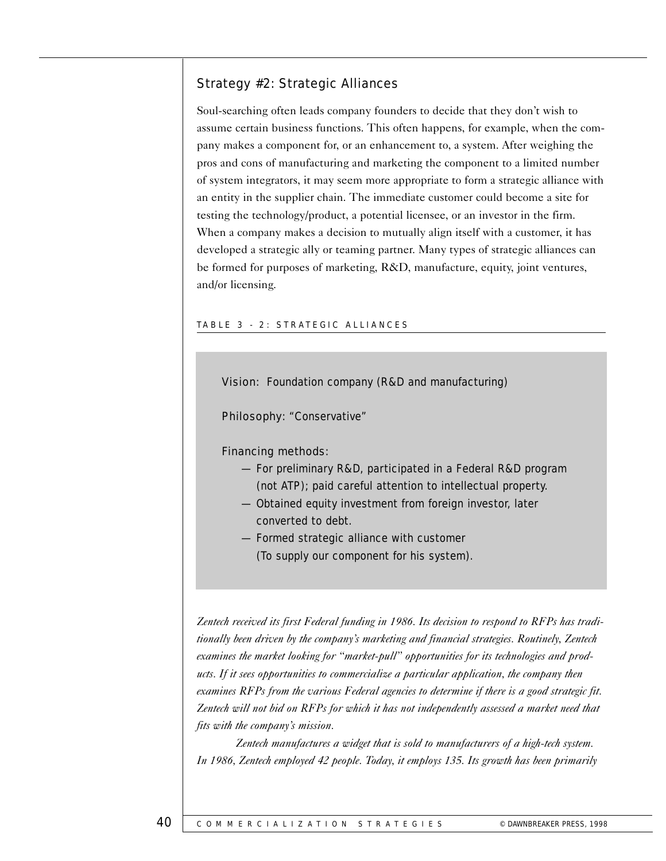## Strategy #2: Strategic Alliances

Soul-searching often leads company founders to decide that they don't wish to assume certain business functions. This often happens, for example, when the company makes a component for, or an enhancement to, a system. After weighing the pros and cons of manufacturing and marketing the component to a limited number of system integrators, it may seem more appropriate to form a strategic alliance with an entity in the supplier chain. The immediate customer could become a site for testing the technology/product, a potential licensee, or an investor in the firm. When a company makes a decision to mutually align itself with a customer, it has developed a strategic ally or teaming partner. Many types of strategic alliances can be formed for purposes of marketing, R&D, manufacture, equity, joint ventures, and/or licensing.

#### TABLE 3 - 2: STRATEGIC ALLIANCES

Vision: Foundation company (R&D and manufacturing)

Philosophy: "Conservative"

#### Financing methods:

- For preliminary R&D, participated in a Federal R&D program (not ATP); paid careful attention to intellectual property.
- Obtained equity investment from foreign investor, later converted to debt.
- Formed strategic alliance with customer (To supply our component for his system).

*Zentech received its first Federal funding in 1986. Its decision to respond to RFPs has traditionally been driven by the company's marketing and financial strategies. Routinely, Zentech examines the market looking for "market-pull" opportunities for its technologies and products. If it sees opportunities to commercialize a particular application, the company then examines RFPs from the various Federal agencies to determine if there is a good strategic fit. Zentech will not bid on RFPs for which it has not independently assessed a market need that fits with the company's mission.*

*Zentech manufactures a widget that is sold to manufacturers of a high-tech system. In 1986, Zentech employed 42 people. Today, it employs 135. Its growth has been primarily*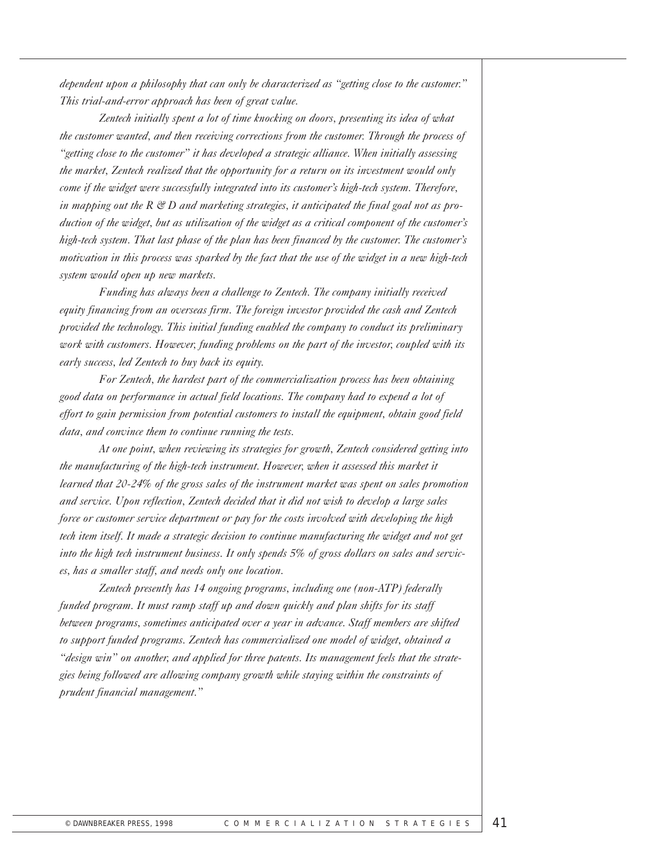*dependent upon a philosophy that can only be characterized as "getting close to the customer." This trial-and-error approach has been of great value.*

*Zentech initially spent a lot of time knocking on doors, presenting its idea of what the customer wanted, and then receiving corrections from the customer. Through the process of "getting close to the customer" it has developed a strategic alliance. When initially assessing the market, Zentech realized that the opportunity for a return on its investment would only come if the widget were successfully integrated into its customer's high-tech system. Therefore, in mapping out the R & D and marketing strategies, it anticipated the final goal not as production of the widget, but as utilization of the widget as a critical component of the customer's high-tech system. That last phase of the plan has been financed by the customer. The customer's motivation in this process was sparked by the fact that the use of the widget in a new high-tech system would open up new markets.*

*Funding has always been a challenge to Zentech. The company initially received equity financing from an overseas firm. The foreign investor provided the cash and Zentech provided the technology. This initial funding enabled the company to conduct its preliminary work with customers. However, funding problems on the part of the investor, coupled with its early success, led Zentech to buy back its equity.*

*For Zentech, the hardest part of the commercialization process has been obtaining good data on performance in actual field locations. The company had to expend a lot of effort to gain permission from potential customers to install the equipment, obtain good field data, and convince them to continue running the tests.*

*At one point, when reviewing its strategies for growth, Zentech considered getting into the manufacturing of the high-tech instrument. However, when it assessed this market it learned that 20-24% of the gross sales of the instrument market was spent on sales promotion and service. Upon reflection, Zentech decided that it did not wish to develop a large sales force or customer service department or pay for the costs involved with developing the high tech item itself. It made a strategic decision to continue manufacturing the widget and not get into the high tech instrument business. It only spends 5% of gross dollars on sales and services, has a smaller staff, and needs only one location.*

*Zentech presently has 14 ongoing programs, including one (non-ATP) federally funded program. It must ramp staff up and down quickly and plan shifts for its staff between programs, sometimes anticipated over a year in advance. Staff members are shifted to support funded programs. Zentech has commercialized one model of widget, obtained a "design win" on another, and applied for three patents. Its management feels that the strategies being followed are allowing company growth while staying within the constraints of prudent financial management."*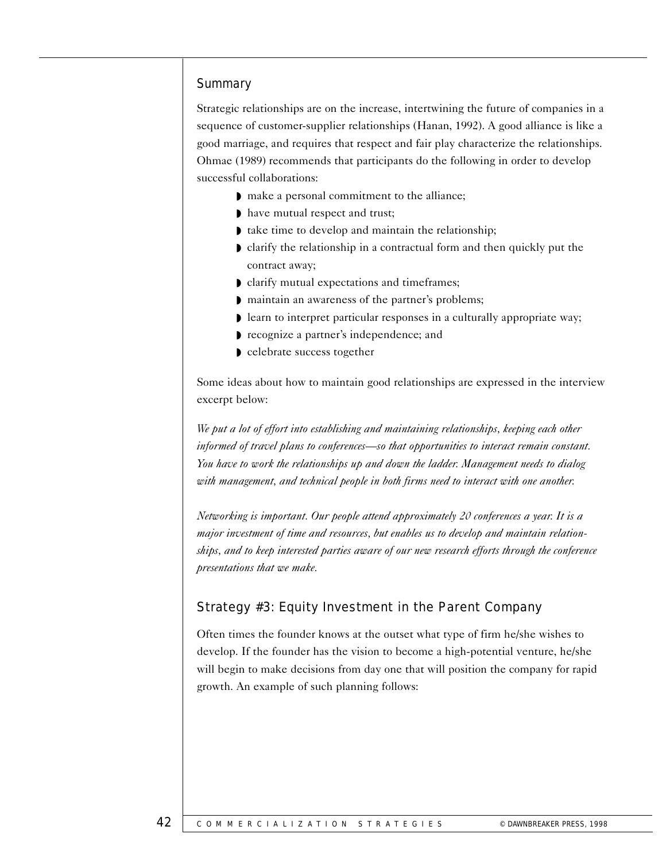### **Summary**

Strategic relationships are on the increase, intertwining the future of companies in a sequence of customer-supplier relationships (Hanan, 1992). A good alliance is like a good marriage, and requires that respect and fair play characterize the relationships. Ohmae (1989) recommends that participants do the following in order to develop successful collaborations:

- ◗ make a personal commitment to the alliance;
- ◗ have mutual respect and trust;
- ◗ take time to develop and maintain the relationship;
- ◗ clarify the relationship in a contractual form and then quickly put the contract away;
- ◗ clarify mutual expectations and timeframes;
- ◗ maintain an awareness of the partner's problems;
- ◗ learn to interpret particular responses in a culturally appropriate way;
- ◗ recognize a partner's independence; and
- ◗ celebrate success together

Some ideas about how to maintain good relationships are expressed in the interview excerpt below:

*We put a lot of effort into establishing and maintaining relationships, keeping each other informed of travel plans to conferences—so that opportunities to interact remain constant. You have to work the relationships up and down the ladder. Management needs to dialog with management, and technical people in both firms need to interact with one another.*

*Networking is important. Our people attend approximately 20 conferences a year. It is a major investment of time and resources, but enables us to develop and maintain relationships, and to keep interested parties aware of our new research efforts through the conference presentations that we make.*

## Strategy #3: Equity Investment in the Parent Company

Often times the founder knows at the outset what type of firm he/she wishes to develop. If the founder has the vision to become a high-potential venture, he/she will begin to make decisions from day one that will position the company for rapid growth. An example of such planning follows: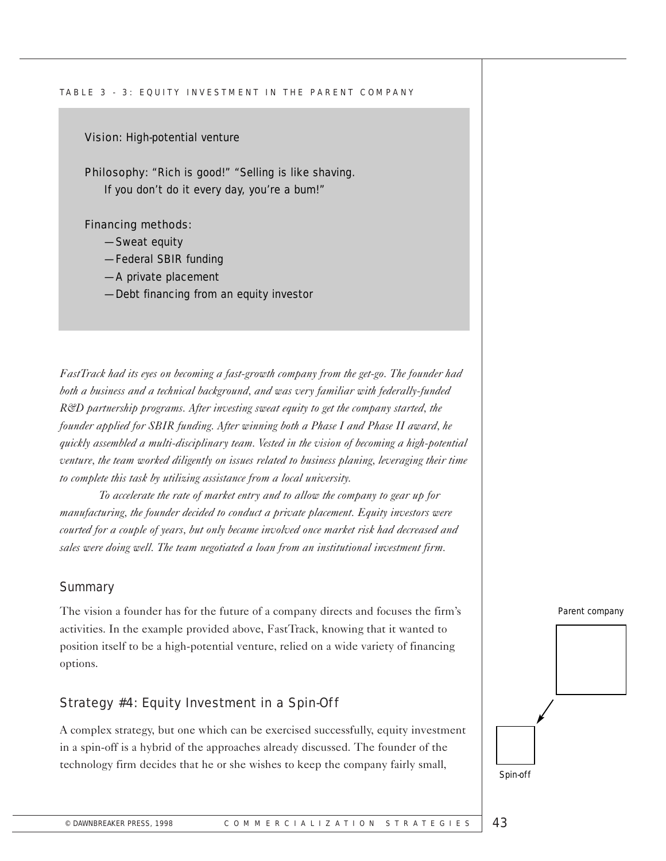#### TABLE 3 - 3: EQUITY INVESTMENT IN THE PARENT COMPANY

#### Vision: High-potential venture

Philosophy: "Rich is good!" "Selling is like shaving. If you don't do it every day, you're a bum!"

#### Financing methods:

- —Sweat equity
- —Federal SBIR funding
- —A private placement
- —Debt financing from an equity investor

*FastTrack had its eyes on becoming a fast-growth company from the get-go. The founder had both a business and a technical background, and was very familiar with federally-funded R&D partnership programs. After investing sweat equity to get the company started, the founder applied for SBIR funding. After winning both a Phase I and Phase II award, he quickly assembled a multi-disciplinary team. Vested in the vision of becoming a high-potential venture, the team worked diligently on issues related to business planing, leveraging their time to complete this task by utilizing assistance from a local university.* 

*To accelerate the rate of market entry and to allow the company to gear up for manufacturing, the founder decided to conduct a private placement. Equity investors were courted for a couple of years, but only became involved once market risk had decreased and sales were doing well. The team negotiated a loan from an institutional investment firm.*

#### **Summary**

The vision a founder has for the future of a company directs and focuses the firm's activities. In the example provided above, FastTrack, knowing that it wanted to position itself to be a high-potential venture, relied on a wide variety of financing options.

## Strategy #4: Equity Investment in a Spin-Off

A complex strategy, but one which can be exercised successfully, equity investment in a spin-off is a hybrid of the approaches already discussed. The founder of the technology firm decides that he or she wishes to keep the company fairly small,

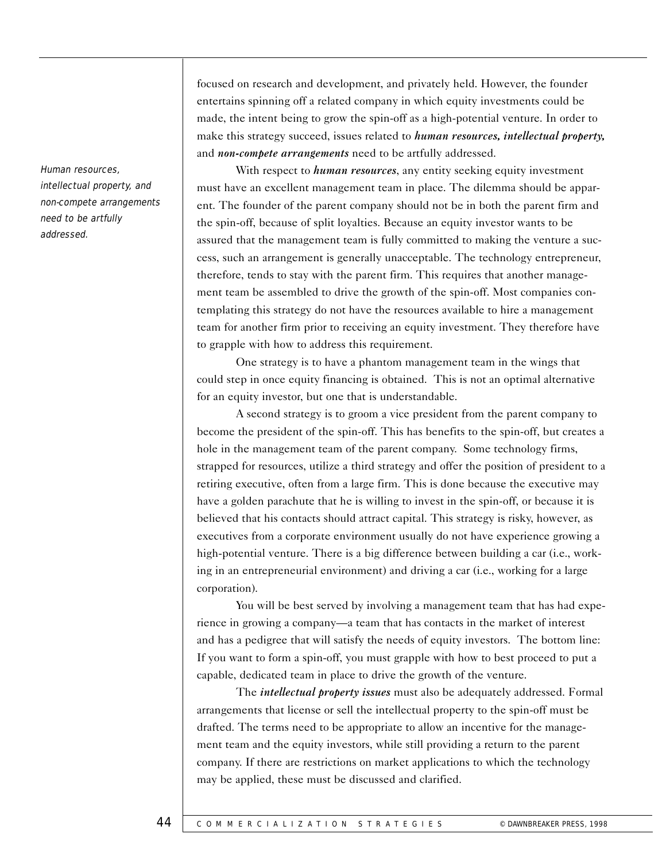Human resources, intellectual property, and non-compete arrangements need to be artfully addressed.

focused on research and development, and privately held. However, the founder entertains spinning off a related company in which equity investments could be made, the intent being to grow the spin-off as a high-potential venture. In order to make this strategy succeed, issues related to *human resources, intellectual property,* and *non-compete arrangements* need to be artfully addressed.

With respect to *human resources*, any entity seeking equity investment must have an excellent management team in place. The dilemma should be apparent. The founder of the parent company should not be in both the parent firm and the spin-off, because of split loyalties. Because an equity investor wants to be assured that the management team is fully committed to making the venture a success, such an arrangement is generally unacceptable. The technology entrepreneur, therefore, tends to stay with the parent firm. This requires that another management team be assembled to drive the growth of the spin-off. Most companies contemplating this strategy do not have the resources available to hire a management team for another firm prior to receiving an equity investment. They therefore have to grapple with how to address this requirement.

One strategy is to have a phantom management team in the wings that could step in once equity financing is obtained. This is not an optimal alternative for an equity investor, but one that is understandable.

A second strategy is to groom a vice president from the parent company to become the president of the spin-off. This has benefits to the spin-off, but creates a hole in the management team of the parent company. Some technology firms, strapped for resources, utilize a third strategy and offer the position of president to a retiring executive, often from a large firm. This is done because the executive may have a golden parachute that he is willing to invest in the spin-off, or because it is believed that his contacts should attract capital. This strategy is risky, however, as executives from a corporate environment usually do not have experience growing a high-potential venture. There is a big difference between building a car (i.e., working in an entrepreneurial environment) and driving a car (i.e., working for a large corporation).

You will be best served by involving a management team that has had experience in growing a company—a team that has contacts in the market of interest and has a pedigree that will satisfy the needs of equity investors. The bottom line: If you want to form a spin-off, you must grapple with how to best proceed to put a capable, dedicated team in place to drive the growth of the venture.

The *intellectual property issues* must also be adequately addressed. Formal arrangements that license or sell the intellectual property to the spin-off must be drafted. The terms need to be appropriate to allow an incentive for the management team and the equity investors, while still providing a return to the parent company. If there are restrictions on market applications to which the technology may be applied, these must be discussed and clarified.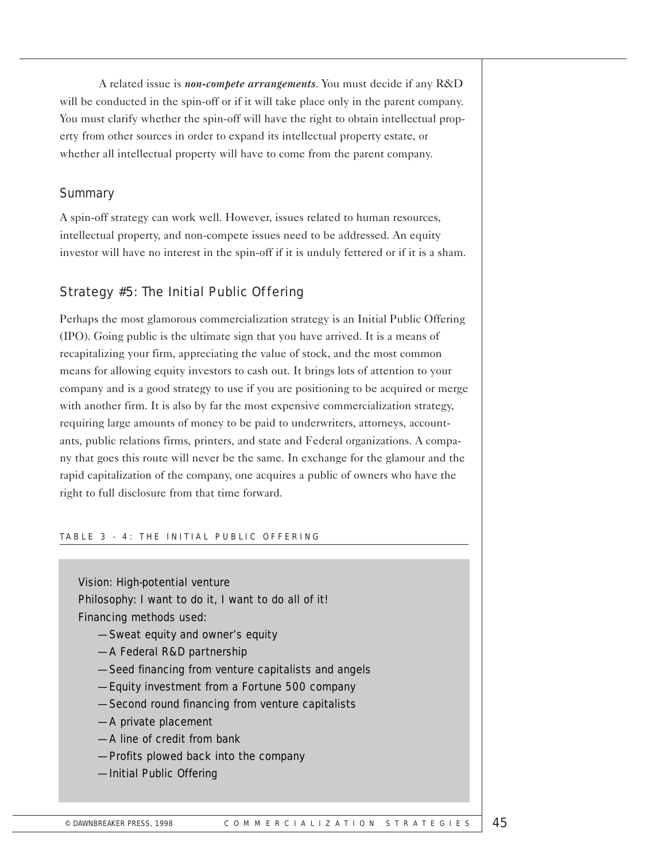A related issue is *non-compete arrangements*. You must decide if any R&D will be conducted in the spin-off or if it will take place only in the parent company. You must clarify whether the spin-off will have the right to obtain intellectual property from other sources in order to expand its intellectual property estate, or whether all intellectual property will have to come from the parent company.

## **Summary**

A spin-off strategy can work well. However, issues related to human resources, intellectual property, and non-compete issues need to be addressed. An equity investor will have no interest in the spin-off if it is unduly fettered or if it is a sham.

## Strategy #5: The Initial Public Offering

Perhaps the most glamorous commercialization strategy is an Initial Public Offering (IPO). Going public is the ultimate sign that you have arrived. It is a means of recapitalizing your firm, appreciating the value of stock, and the most common means for allowing equity investors to cash out. It brings lots of attention to your company and is a good strategy to use if you are positioning to be acquired or merge with another firm. It is also by far the most expensive commercialization strategy, requiring large amounts of money to be paid to underwriters, attorneys, accountants, public relations firms, printers, and state and Federal organizations. A company that goes this route will never be the same. In exchange for the glamour and the rapid capitalization of the company, one acquires a public of owners who have the right to full disclosure from that time forward.

#### TABLE 3 - 4: THE INITIAL PUBLIC OFFERING

Vision: High-potential venture Philosophy: I want to do it, I want to do all of it! Financing methods used:

- —Sweat equity and owner's equity
- —A Federal R&D partnership
- —Seed financing from venture capitalists and angels
- —Equity investment from a Fortune 500 company
- —Second round financing from venture capitalists
- —A private placement
- —A line of credit from bank
- —Profits plowed back into the company
- —Initial Public Offering